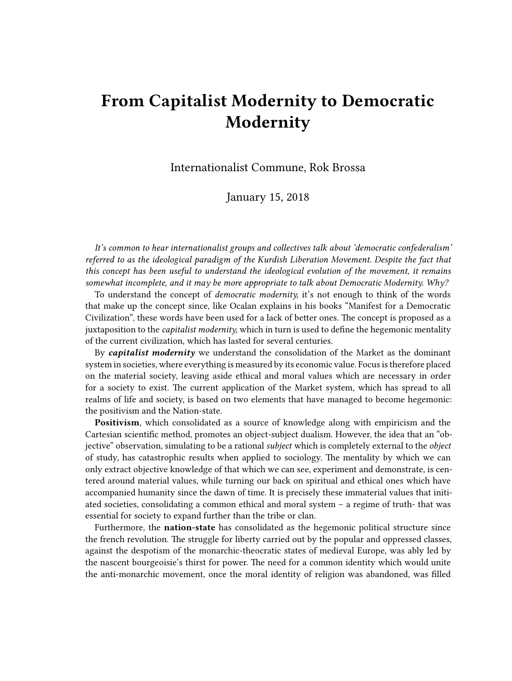## **From Capitalist Modernity to Democratic Modernity**

Internationalist Commune, Rok Brossa

January 15, 2018

*It's common to hear internationalist groups and collectives talk about 'democratic confederalism' referred to as the ideological paradigm of the Kurdish Liberation Movement. Despite the fact that this concept has been useful to understand the ideological evolution of the movement, it remains somewhat incomplete, and it may be more appropriate to talk about Democratic Modernity. Why?*

To understand the concept of *democratic modernity,* it's not enough to think of the words that make up the concept since, like Ocalan explains in his books "Manifest for a Democratic Civilization", these words have been used for a lack of better ones. The concept is proposed as a juxtaposition to the *capitalist modernity,* which in turn is used to define the hegemonic mentality of the current civilization, which has lasted for several centuries.

By *capitalist modernity* we understand the consolidation of the Market as the dominant system in societies, where everything is measured by its economic value. Focus is therefore placed on the material society, leaving aside ethical and moral values which are necessary in order for a society to exist. The current application of the Market system, which has spread to all realms of life and society, is based on two elements that have managed to become hegemonic: the positivism and the Nation-state.

**Positivism**, which consolidated as a source of knowledge along with empiricism and the Cartesian scientific method, promotes an object-subject dualism. However, the idea that an "objective" observation, simulating to be a rational *subject* which is completely external to the *object* of study, has catastrophic results when applied to sociology. The mentality by which we can only extract objective knowledge of that which we can see, experiment and demonstrate, is centered around material values, while turning our back on spiritual and ethical ones which have accompanied humanity since the dawn of time. It is precisely these immaterial values that initiated societies, consolidating a common ethical and moral system – a regime of truth- that was essential for society to expand further than the tribe or clan.

Furthermore, the **nation-state** has consolidated as the hegemonic political structure since the french revolution. The struggle for liberty carried out by the popular and oppressed classes, against the despotism of the monarchic-theocratic states of medieval Europe, was ably led by the nascent bourgeoisie's thirst for power. The need for a common identity which would unite the anti-monarchic movement, once the moral identity of religion was abandoned, was filled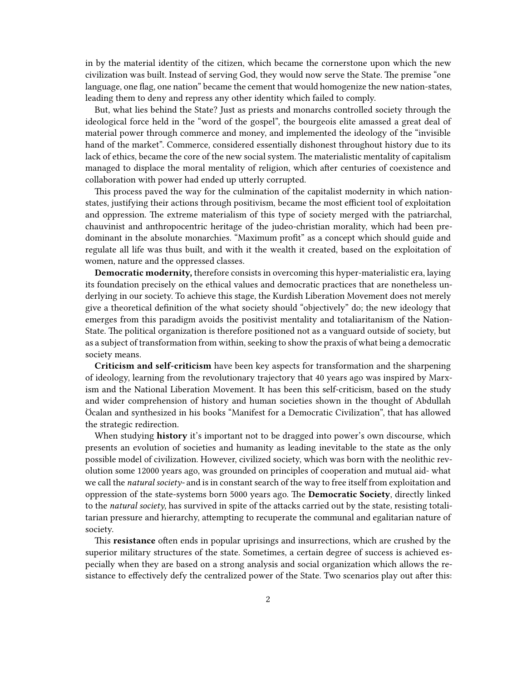in by the material identity of the citizen, which became the cornerstone upon which the new civilization was built. Instead of serving God, they would now serve the State. The premise "one language, one flag, one nation" became the cement that would homogenize the new nation-states, leading them to deny and repress any other identity which failed to comply.

But, what lies behind the State? Just as priests and monarchs controlled society through the ideological force held in the "word of the gospel", the bourgeois elite amassed a great deal of material power through commerce and money, and implemented the ideology of the "invisible hand of the market". Commerce, considered essentially dishonest throughout history due to its lack of ethics, became the core of the new social system. The materialistic mentality of capitalism managed to displace the moral mentality of religion, which after centuries of coexistence and collaboration with power had ended up utterly corrupted.

This process paved the way for the culmination of the capitalist modernity in which nationstates, justifying their actions through positivism, became the most efficient tool of exploitation and oppression. The extreme materialism of this type of society merged with the patriarchal, chauvinist and anthropocentric heritage of the judeo-christian morality, which had been predominant in the absolute monarchies. "Maximum profit" as a concept which should guide and regulate all life was thus built, and with it the wealth it created, based on the exploitation of women, nature and the oppressed classes.

**Democratic modernity,** therefore consists in overcoming this hyper-materialistic era, laying its foundation precisely on the ethical values and democratic practices that are nonetheless underlying in our society. To achieve this stage, the Kurdish Liberation Movement does not merely give a theoretical definition of the what society should "objectively" do; the new ideology that emerges from this paradigm avoids the positivist mentality and totaliaritanism of the Nation-State. The political organization is therefore positioned not as a vanguard outside of society, but as a subject of transformation from within, seeking to show the praxis of what being a democratic society means.

**Criticism and self-criticism** have been key aspects for transformation and the sharpening of ideology, learning from the revolutionary trajectory that 40 years ago was inspired by Marxism and the National Liberation Movement. It has been this self-criticism, based on the study and wider comprehension of history and human societies shown in the thought of Abdullah Öcalan and synthesized in his books "Manifest for a Democratic Civilization", that has allowed the strategic redirection.

When studying **history** it's important not to be dragged into power's own discourse, which presents an evolution of societies and humanity as leading inevitable to the state as the only possible model of civilization. However, civilized society, which was born with the neolithic revolution some 12000 years ago, was grounded on principles of cooperation and mutual aid- what we call the *natural society-* and is in constant search of the way to free itself from exploitation and oppression of the state-systems born 5000 years ago. The **Democratic Society**, directly linked to the *natural society*, has survived in spite of the attacks carried out by the state, resisting totalitarian pressure and hierarchy, attempting to recuperate the communal and egalitarian nature of society.

This **resistance** often ends in popular uprisings and insurrections, which are crushed by the superior military structures of the state. Sometimes, a certain degree of success is achieved especially when they are based on a strong analysis and social organization which allows the resistance to effectively defy the centralized power of the State. Two scenarios play out after this: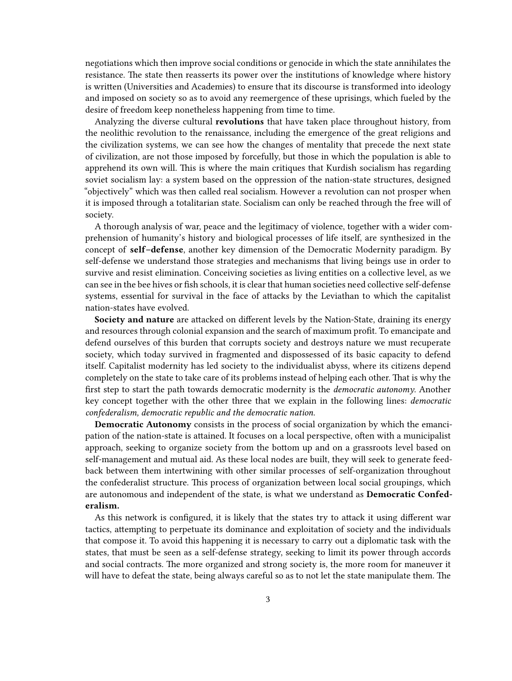negotiations which then improve social conditions or genocide in which the state annihilates the resistance. The state then reasserts its power over the institutions of knowledge where history is written (Universities and Academies) to ensure that its discourse is transformed into ideology and imposed on society so as to avoid any reemergence of these uprisings, which fueled by the desire of freedom keep nonetheless happening from time to time.

Analyzing the diverse cultural **revolutions** that have taken place throughout history, from the neolithic revolution to the renaissance, including the emergence of the great religions and the civilization systems, we can see how the changes of mentality that precede the next state of civilization, are not those imposed by forcefully, but those in which the population is able to apprehend its own will. This is where the main critiques that Kurdish socialism has regarding soviet socialism lay: a system based on the oppression of the nation-state structures, designed "objectively" which was then called real socialism. However a revolution can not prosper when it is imposed through a totalitarian state. Socialism can only be reached through the free will of society.

A thorough analysis of war, peace and the legitimacy of violence, together with a wider comprehension of humanity's history and biological processes of life itself, are synthesized in the concept of **self–defense**, another key dimension of the Democratic Modernity paradigm. By self-defense we understand those strategies and mechanisms that living beings use in order to survive and resist elimination. Conceiving societies as living entities on a collective level, as we can see in the bee hives or fish schools, it is clear that human societies need collective self-defense systems, essential for survival in the face of attacks by the Leviathan to which the capitalist nation-states have evolved.

**Society and nature** are attacked on different levels by the Nation-State, draining its energy and resources through colonial expansion and the search of maximum profit. To emancipate and defend ourselves of this burden that corrupts society and destroys nature we must recuperate society, which today survived in fragmented and dispossessed of its basic capacity to defend itself. Capitalist modernity has led society to the individualist abyss, where its citizens depend completely on the state to take care of its problems instead of helping each other. That is why the first step to start the path towards democratic modernity is the *democratic autonomy*. Another key concept together with the other three that we explain in the following lines: *democratic confederalism, democratic republic and the democratic nation.*

**Democratic Autonomy** consists in the process of social organization by which the emancipation of the nation-state is attained. It focuses on a local perspective, often with a municipalist approach, seeking to organize society from the bottom up and on a grassroots level based on self-management and mutual aid. As these local nodes are built, they will seek to generate feedback between them intertwining with other similar processes of self-organization throughout the confederalist structure. This process of organization between local social groupings, which are autonomous and independent of the state, is what we understand as **Democratic Confederalism.**

As this network is configured, it is likely that the states try to attack it using different war tactics, attempting to perpetuate its dominance and exploitation of society and the individuals that compose it. To avoid this happening it is necessary to carry out a diplomatic task with the states, that must be seen as a self-defense strategy, seeking to limit its power through accords and social contracts. The more organized and strong society is, the more room for maneuver it will have to defeat the state, being always careful so as to not let the state manipulate them. The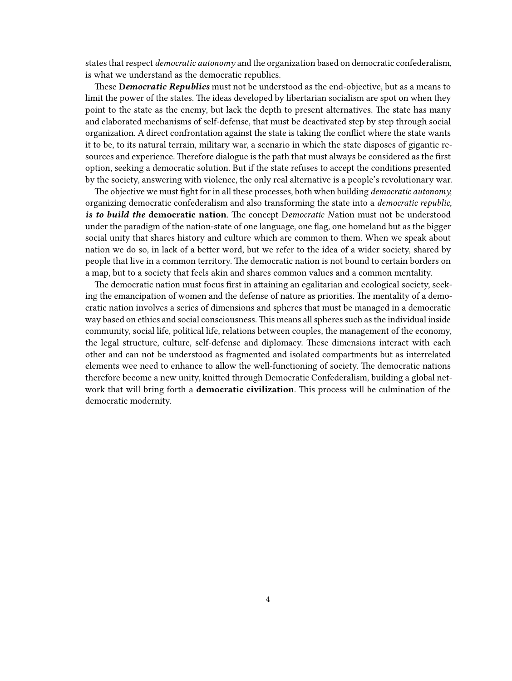states that respect *democratic autonomy* and the organization based on democratic confederalism, is what we understand as the democratic republics.

These **D***emocratic Republics* must not be understood as the end-objective, but as a means to limit the power of the states. The ideas developed by libertarian socialism are spot on when they point to the state as the enemy, but lack the depth to present alternatives. The state has many and elaborated mechanisms of self-defense, that must be deactivated step by step through social organization. A direct confrontation against the state is taking the conflict where the state wants it to be, to its natural terrain, military war, a scenario in which the state disposes of gigantic resources and experience. Therefore dialogue is the path that must always be considered as the first option, seeking a democratic solution. But if the state refuses to accept the conditions presented by the society, answering with violence, the only real alternative is a people's revolutionary war.

The objective we must fight for in all these processes, both when building *democratic autonomy,* organizing democratic confederalism and also transforming the state into a *democratic republic, is to build the* **democratic nation**. The concept D*emocratic N*ation must not be understood under the paradigm of the nation-state of one language, one flag, one homeland but as the bigger social unity that shares history and culture which are common to them. When we speak about nation we do so, in lack of a better word, but we refer to the idea of a wider society, shared by people that live in a common territory. The democratic nation is not bound to certain borders on a map, but to a society that feels akin and shares common values and a common mentality.

The democratic nation must focus first in attaining an egalitarian and ecological society, seeking the emancipation of women and the defense of nature as priorities. The mentality of a democratic nation involves a series of dimensions and spheres that must be managed in a democratic way based on ethics and social consciousness. This means all spheres such as the individual inside community, social life, political life, relations between couples, the management of the economy, the legal structure, culture, self-defense and diplomacy. These dimensions interact with each other and can not be understood as fragmented and isolated compartments but as interrelated elements wee need to enhance to allow the well-functioning of society. The democratic nations therefore become a new unity, knitted through Democratic Confederalism, building a global network that will bring forth a **democratic civilization**. This process will be culmination of the democratic modernity.